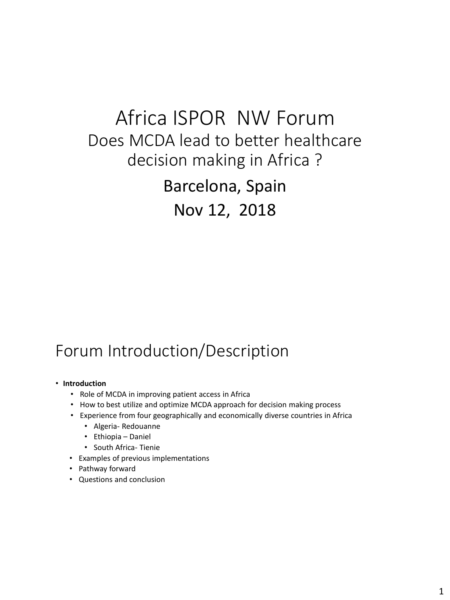# Africa ISPOR NW Forum Does MCDA lead to better healthcare decision making in Africa ?

Barcelona, Spain Nov 12, 2018

### Forum Introduction/Description

#### • **Introduction**

- Role of MCDA in improving patient access in Africa
- How to best utilize and optimize MCDA approach for decision making process
- Experience from four geographically and economically diverse countries in Africa
	- Algeria- Redouanne
	- Ethiopia Daniel
	- South Africa- Tienie
- Examples of previous implementations
- Pathway forward
- Questions and conclusion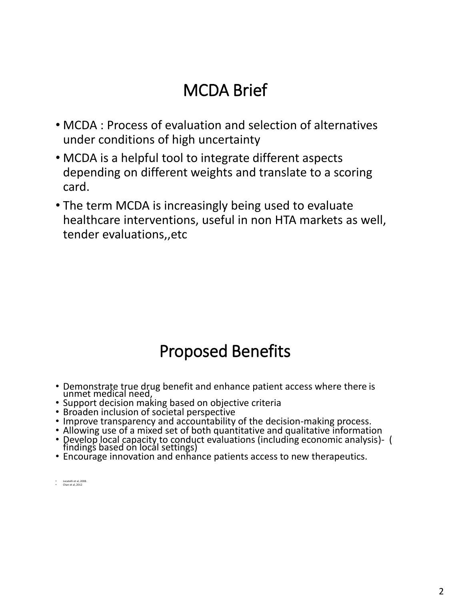## MCDA Brief

- MCDA : Process of evaluation and selection of alternatives under conditions of high uncertainty
- MCDA is a helpful tool to integrate different aspects depending on different weights and translate to a scoring card.
- The term MCDA is increasingly being used to evaluate healthcare interventions, useful in non HTA markets as well, tender evaluations,,etc

## Proposed Benefits

- Demonstrate true drug benefit and enhance patient access where there is unmet medical need,
- Support decision making based on objective criteria
- Broaden inclusion of societal perspective
- Improve transparency and accountability of the decision-making process.
- Allowing use of a mixed set of both quantitative and qualitative information
- Develop local capacity to conduct evaluations (including economic analysis)- ( findings based on local settings)
- Encourage innovation and enhance patients access to new therapeutics.